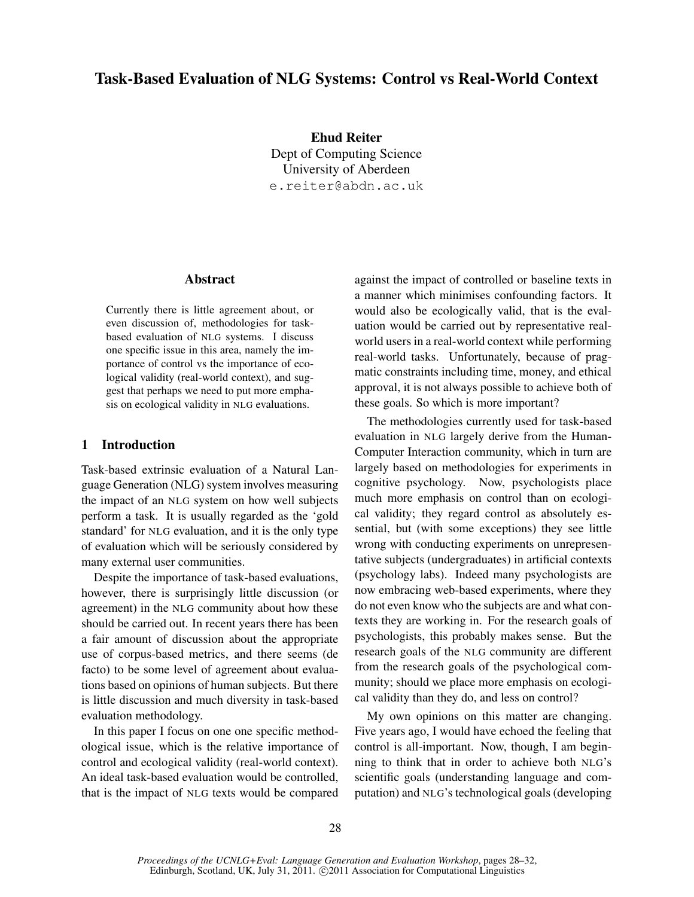# Task-Based Evaluation of NLG Systems: Control vs Real-World Context

Ehud Reiter Dept of Computing Science University of Aberdeen e.reiter@abdn.ac.uk

#### Abstract

Currently there is little agreement about, or even discussion of, methodologies for taskbased evaluation of NLG systems. I discuss one specific issue in this area, namely the importance of control vs the importance of ecological validity (real-world context), and suggest that perhaps we need to put more emphasis on ecological validity in NLG evaluations.

### 1 Introduction

Task-based extrinsic evaluation of a Natural Language Generation (NLG) system involves measuring the impact of an NLG system on how well subjects perform a task. It is usually regarded as the 'gold standard' for NLG evaluation, and it is the only type of evaluation which will be seriously considered by many external user communities.

Despite the importance of task-based evaluations, however, there is surprisingly little discussion (or agreement) in the NLG community about how these should be carried out. In recent years there has been a fair amount of discussion about the appropriate use of corpus-based metrics, and there seems (de facto) to be some level of agreement about evaluations based on opinions of human subjects. But there is little discussion and much diversity in task-based evaluation methodology.

In this paper I focus on one one specific methodological issue, which is the relative importance of control and ecological validity (real-world context). An ideal task-based evaluation would be controlled, that is the impact of NLG texts would be compared against the impact of controlled or baseline texts in a manner which minimises confounding factors. It would also be ecologically valid, that is the evaluation would be carried out by representative realworld users in a real-world context while performing real-world tasks. Unfortunately, because of pragmatic constraints including time, money, and ethical approval, it is not always possible to achieve both of these goals. So which is more important?

The methodologies currently used for task-based evaluation in NLG largely derive from the Human-Computer Interaction community, which in turn are largely based on methodologies for experiments in cognitive psychology. Now, psychologists place much more emphasis on control than on ecological validity; they regard control as absolutely essential, but (with some exceptions) they see little wrong with conducting experiments on unrepresentative subjects (undergraduates) in artificial contexts (psychology labs). Indeed many psychologists are now embracing web-based experiments, where they do not even know who the subjects are and what contexts they are working in. For the research goals of psychologists, this probably makes sense. But the research goals of the NLG community are different from the research goals of the psychological community; should we place more emphasis on ecological validity than they do, and less on control?

My own opinions on this matter are changing. Five years ago, I would have echoed the feeling that control is all-important. Now, though, I am beginning to think that in order to achieve both NLG's scientific goals (understanding language and computation) and NLG's technological goals (developing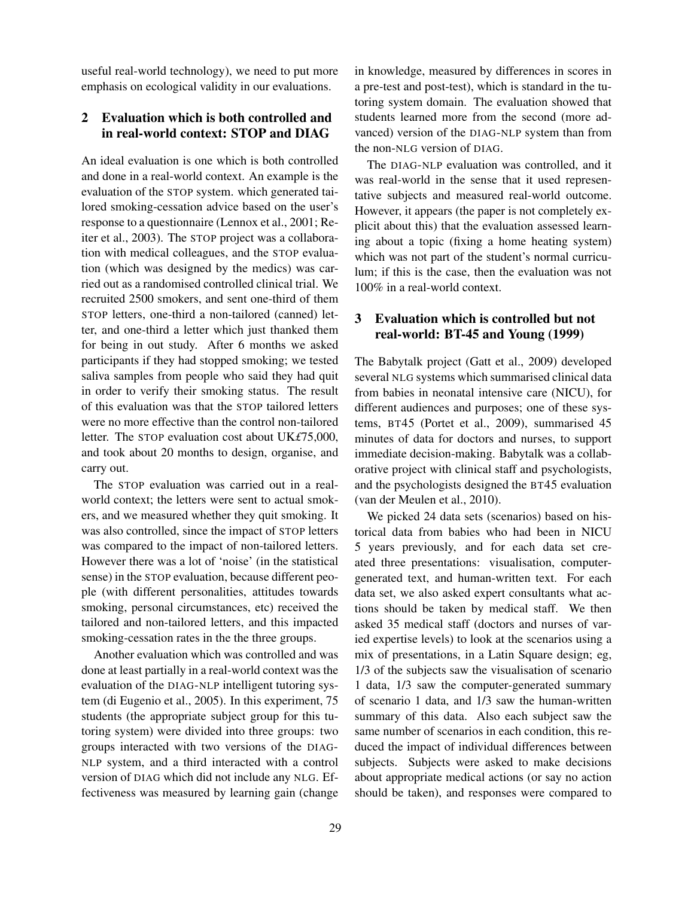useful real-world technology), we need to put more emphasis on ecological validity in our evaluations.

### 2 Evaluation which is both controlled and in real-world context: STOP and DIAG

An ideal evaluation is one which is both controlled and done in a real-world context. An example is the evaluation of the STOP system. which generated tailored smoking-cessation advice based on the user's response to a questionnaire (Lennox et al., 2001; Reiter et al., 2003). The STOP project was a collaboration with medical colleagues, and the STOP evaluation (which was designed by the medics) was carried out as a randomised controlled clinical trial. We recruited 2500 smokers, and sent one-third of them STOP letters, one-third a non-tailored (canned) letter, and one-third a letter which just thanked them for being in out study. After 6 months we asked participants if they had stopped smoking; we tested saliva samples from people who said they had quit in order to verify their smoking status. The result of this evaluation was that the STOP tailored letters were no more effective than the control non-tailored letter. The STOP evaluation cost about UK*£*75,000, and took about 20 months to design, organise, and carry out.

The STOP evaluation was carried out in a realworld context; the letters were sent to actual smokers, and we measured whether they quit smoking. It was also controlled, since the impact of STOP letters was compared to the impact of non-tailored letters. However there was a lot of 'noise' (in the statistical sense) in the STOP evaluation, because different people (with different personalities, attitudes towards smoking, personal circumstances, etc) received the tailored and non-tailored letters, and this impacted smoking-cessation rates in the the three groups.

Another evaluation which was controlled and was done at least partially in a real-world context was the evaluation of the DIAG-NLP intelligent tutoring system (di Eugenio et al., 2005). In this experiment, 75 students (the appropriate subject group for this tutoring system) were divided into three groups: two groups interacted with two versions of the DIAG-NLP system, and a third interacted with a control version of DIAG which did not include any NLG. Effectiveness was measured by learning gain (change in knowledge, measured by differences in scores in a pre-test and post-test), which is standard in the tutoring system domain. The evaluation showed that students learned more from the second (more advanced) version of the DIAG-NLP system than from the non-NLG version of DIAG.

The DIAG-NLP evaluation was controlled, and it was real-world in the sense that it used representative subjects and measured real-world outcome. However, it appears (the paper is not completely explicit about this) that the evaluation assessed learning about a topic (fixing a home heating system) which was not part of the student's normal curriculum; if this is the case, then the evaluation was not 100% in a real-world context.

### 3 Evaluation which is controlled but not real-world: BT-45 and Young (1999)

The Babytalk project (Gatt et al., 2009) developed several NLG systems which summarised clinical data from babies in neonatal intensive care (NICU), for different audiences and purposes; one of these systems, BT45 (Portet et al., 2009), summarised 45 minutes of data for doctors and nurses, to support immediate decision-making. Babytalk was a collaborative project with clinical staff and psychologists, and the psychologists designed the BT45 evaluation (van der Meulen et al., 2010).

We picked 24 data sets (scenarios) based on historical data from babies who had been in NICU 5 years previously, and for each data set created three presentations: visualisation, computergenerated text, and human-written text. For each data set, we also asked expert consultants what actions should be taken by medical staff. We then asked 35 medical staff (doctors and nurses of varied expertise levels) to look at the scenarios using a mix of presentations, in a Latin Square design; eg, 1/3 of the subjects saw the visualisation of scenario 1 data, 1/3 saw the computer-generated summary of scenario 1 data, and 1/3 saw the human-written summary of this data. Also each subject saw the same number of scenarios in each condition, this reduced the impact of individual differences between subjects. Subjects were asked to make decisions about appropriate medical actions (or say no action should be taken), and responses were compared to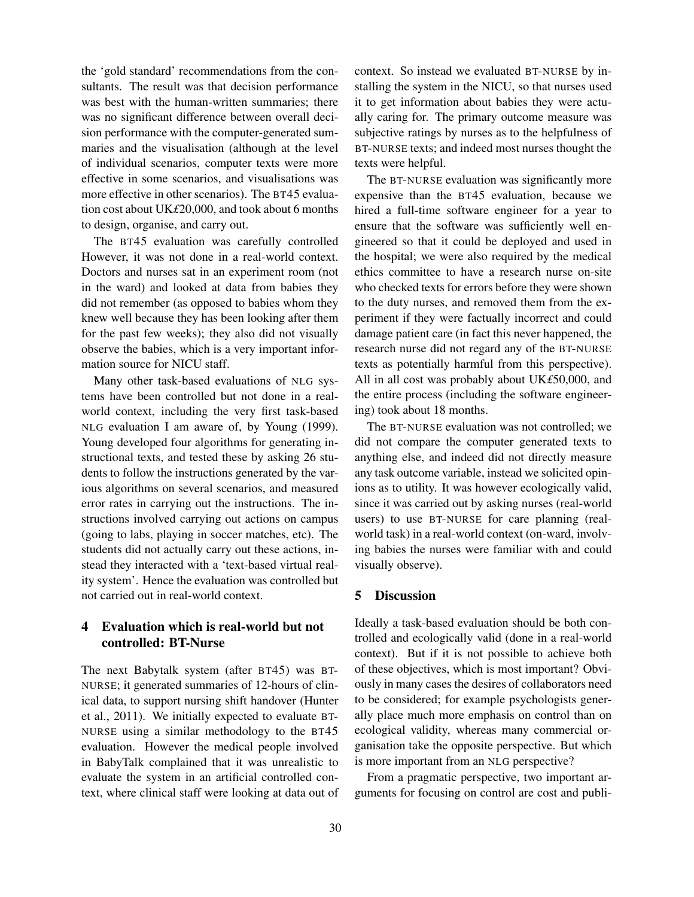the 'gold standard' recommendations from the consultants. The result was that decision performance was best with the human-written summaries; there was no significant difference between overall decision performance with the computer-generated summaries and the visualisation (although at the level of individual scenarios, computer texts were more effective in some scenarios, and visualisations was more effective in other scenarios). The BT45 evaluation cost about UK*£*20,000, and took about 6 months to design, organise, and carry out.

The BT45 evaluation was carefully controlled However, it was not done in a real-world context. Doctors and nurses sat in an experiment room (not in the ward) and looked at data from babies they did not remember (as opposed to babies whom they knew well because they has been looking after them for the past few weeks); they also did not visually observe the babies, which is a very important information source for NICU staff.

Many other task-based evaluations of NLG systems have been controlled but not done in a realworld context, including the very first task-based NLG evaluation I am aware of, by Young (1999). Young developed four algorithms for generating instructional texts, and tested these by asking 26 students to follow the instructions generated by the various algorithms on several scenarios, and measured error rates in carrying out the instructions. The instructions involved carrying out actions on campus (going to labs, playing in soccer matches, etc). The students did not actually carry out these actions, instead they interacted with a 'text-based virtual reality system'. Hence the evaluation was controlled but not carried out in real-world context.

# 4 Evaluation which is real-world but not controlled: BT-Nurse

The next Babytalk system (after BT45) was BT-NURSE; it generated summaries of 12-hours of clinical data, to support nursing shift handover (Hunter et al., 2011). We initially expected to evaluate BT-NURSE using a similar methodology to the BT45 evaluation. However the medical people involved in BabyTalk complained that it was unrealistic to evaluate the system in an artificial controlled context, where clinical staff were looking at data out of context. So instead we evaluated BT-NURSE by installing the system in the NICU, so that nurses used it to get information about babies they were actually caring for. The primary outcome measure was subjective ratings by nurses as to the helpfulness of BT-NURSE texts; and indeed most nurses thought the texts were helpful.

The BT-NURSE evaluation was significantly more expensive than the BT45 evaluation, because we hired a full-time software engineer for a year to ensure that the software was sufficiently well engineered so that it could be deployed and used in the hospital; we were also required by the medical ethics committee to have a research nurse on-site who checked texts for errors before they were shown to the duty nurses, and removed them from the experiment if they were factually incorrect and could damage patient care (in fact this never happened, the research nurse did not regard any of the BT-NURSE texts as potentially harmful from this perspective). All in all cost was probably about UK*£*50,000, and the entire process (including the software engineering) took about 18 months.

The BT-NURSE evaluation was not controlled; we did not compare the computer generated texts to anything else, and indeed did not directly measure any task outcome variable, instead we solicited opinions as to utility. It was however ecologically valid, since it was carried out by asking nurses (real-world users) to use BT-NURSE for care planning (realworld task) in a real-world context (on-ward, involving babies the nurses were familiar with and could visually observe).

#### 5 Discussion

Ideally a task-based evaluation should be both controlled and ecologically valid (done in a real-world context). But if it is not possible to achieve both of these objectives, which is most important? Obviously in many cases the desires of collaborators need to be considered; for example psychologists generally place much more emphasis on control than on ecological validity, whereas many commercial organisation take the opposite perspective. But which is more important from an NLG perspective?

From a pragmatic perspective, two important arguments for focusing on control are cost and publi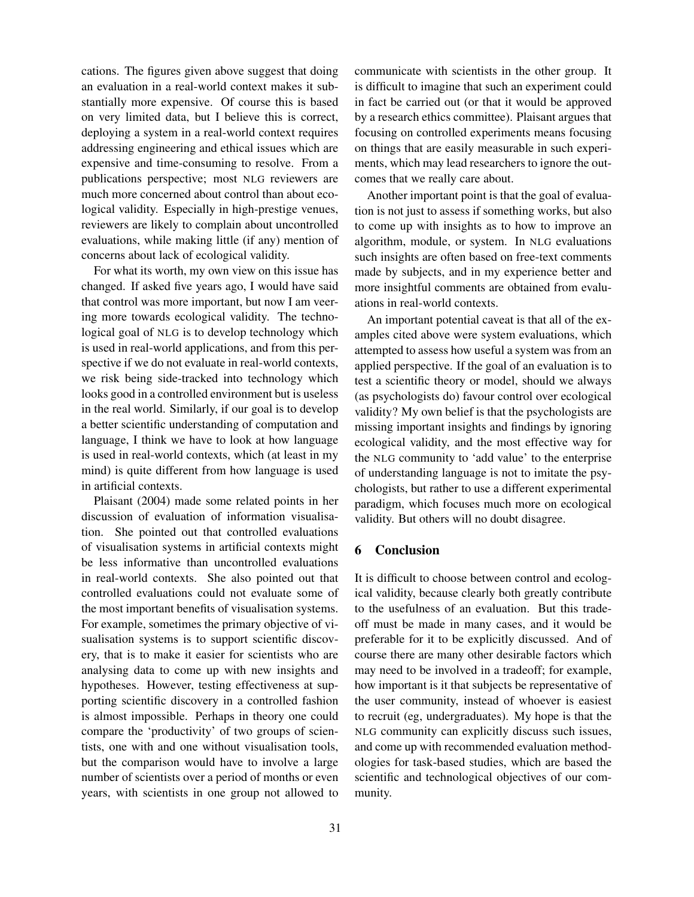cations. The figures given above suggest that doing an evaluation in a real-world context makes it substantially more expensive. Of course this is based on very limited data, but I believe this is correct, deploying a system in a real-world context requires addressing engineering and ethical issues which are expensive and time-consuming to resolve. From a publications perspective; most NLG reviewers are much more concerned about control than about ecological validity. Especially in high-prestige venues, reviewers are likely to complain about uncontrolled evaluations, while making little (if any) mention of concerns about lack of ecological validity.

For what its worth, my own view on this issue has changed. If asked five years ago, I would have said that control was more important, but now I am veering more towards ecological validity. The technological goal of NLG is to develop technology which is used in real-world applications, and from this perspective if we do not evaluate in real-world contexts, we risk being side-tracked into technology which looks good in a controlled environment but is useless in the real world. Similarly, if our goal is to develop a better scientific understanding of computation and language, I think we have to look at how language is used in real-world contexts, which (at least in my mind) is quite different from how language is used in artificial contexts.

Plaisant (2004) made some related points in her discussion of evaluation of information visualisation. She pointed out that controlled evaluations of visualisation systems in artificial contexts might be less informative than uncontrolled evaluations in real-world contexts. She also pointed out that controlled evaluations could not evaluate some of the most important benefits of visualisation systems. For example, sometimes the primary objective of visualisation systems is to support scientific discovery, that is to make it easier for scientists who are analysing data to come up with new insights and hypotheses. However, testing effectiveness at supporting scientific discovery in a controlled fashion is almost impossible. Perhaps in theory one could compare the 'productivity' of two groups of scientists, one with and one without visualisation tools, but the comparison would have to involve a large number of scientists over a period of months or even years, with scientists in one group not allowed to

communicate with scientists in the other group. It is difficult to imagine that such an experiment could in fact be carried out (or that it would be approved by a research ethics committee). Plaisant argues that focusing on controlled experiments means focusing on things that are easily measurable in such experiments, which may lead researchers to ignore the outcomes that we really care about.

Another important point is that the goal of evaluation is not just to assess if something works, but also to come up with insights as to how to improve an algorithm, module, or system. In NLG evaluations such insights are often based on free-text comments made by subjects, and in my experience better and more insightful comments are obtained from evaluations in real-world contexts.

An important potential caveat is that all of the examples cited above were system evaluations, which attempted to assess how useful a system was from an applied perspective. If the goal of an evaluation is to test a scientific theory or model, should we always (as psychologists do) favour control over ecological validity? My own belief is that the psychologists are missing important insights and findings by ignoring ecological validity, and the most effective way for the NLG community to 'add value' to the enterprise of understanding language is not to imitate the psychologists, but rather to use a different experimental paradigm, which focuses much more on ecological validity. But others will no doubt disagree.

#### 6 Conclusion

It is difficult to choose between control and ecological validity, because clearly both greatly contribute to the usefulness of an evaluation. But this tradeoff must be made in many cases, and it would be preferable for it to be explicitly discussed. And of course there are many other desirable factors which may need to be involved in a tradeoff; for example, how important is it that subjects be representative of the user community, instead of whoever is easiest to recruit (eg, undergraduates). My hope is that the NLG community can explicitly discuss such issues, and come up with recommended evaluation methodologies for task-based studies, which are based the scientific and technological objectives of our community.